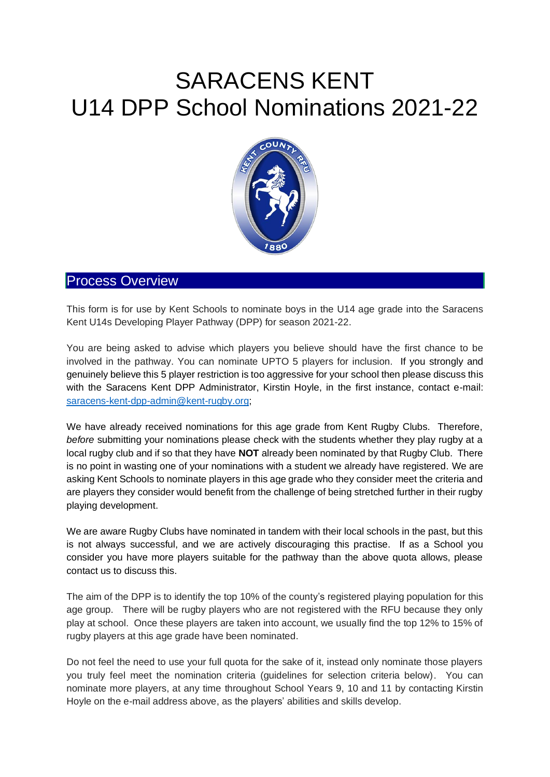# SARACENS KENT U14 DPP School Nominations 2021-22



### Process Overview

This form is for use by Kent Schools to nominate boys in the U14 age grade into the Saracens Kent U14s Developing Player Pathway (DPP) for season 2021-22.

You are being asked to advise which players you believe should have the first chance to be involved in the pathway. You can nominate UPTO 5 players for inclusion. If you strongly and genuinely believe this 5 player restriction is too aggressive for your school then please discuss this with the Saracens Kent DPP Administrator, Kirstin Hoyle, in the first instance, contact e-mail: [saracens-kent-dpp-admin@kent-rugby.org;](mailto:saracens-kent-dpp-admin@kent-rugby.org)

We have already received nominations for this age grade from Kent Rugby Clubs. Therefore, *before* submitting your nominations please check with the students whether they play rugby at a local rugby club and if so that they have **NOT** already been nominated by that Rugby Club. There is no point in wasting one of your nominations with a student we already have registered. We are asking Kent Schools to nominate players in this age grade who they consider meet the criteria and are players they consider would benefit from the challenge of being stretched further in their rugby playing development.

We are aware Rugby Clubs have nominated in tandem with their local schools in the past, but this is not always successful, and we are actively discouraging this practise. If as a School you consider you have more players suitable for the pathway than the above quota allows, please contact us to discuss this.

The aim of the DPP is to identify the top 10% of the county's registered playing population for this age group. There will be rugby players who are not registered with the RFU because they only play at school. Once these players are taken into account, we usually find the top 12% to 15% of rugby players at this age grade have been nominated.

Do not feel the need to use your full quota for the sake of it, instead only nominate those players you truly feel meet the nomination criteria (guidelines for selection criteria below). You can nominate more players, at any time throughout School Years 9, 10 and 11 by contacting Kirstin Hoyle on the e-mail address above, as the players' abilities and skills develop.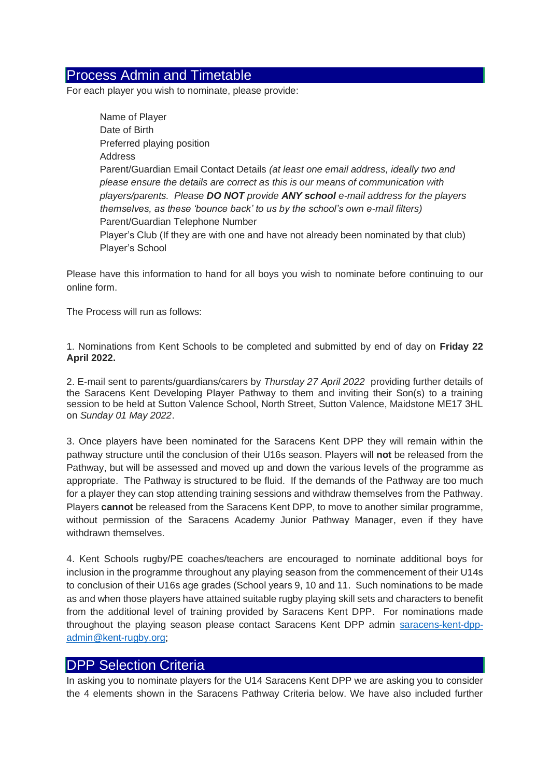### Process Admin and Timetable

For each player you wish to nominate, please provide:

Name of Player Date of Birth Preferred playing position Address Parent/Guardian Email Contact Details *(at least one email address, ideally two and please ensure the details are correct as this is our means of communication with players/parents. Please DO NOT provide ANY school e-mail address for the players themselves, as these 'bounce back' to us by the school's own e-mail filters)* Parent/Guardian Telephone Number Player's Club (If they are with one and have not already been nominated by that club) Player's School

Please have this information to hand for all boys you wish to nominate before continuing to our online form.

The Process will run as follows:

1. Nominations from Kent Schools to be completed and submitted by end of day on **Friday 22 April 2022.**

2. E-mail sent to parents/guardians/carers by *Thursday 27 April 2022* providing further details of the Saracens Kent Developing Player Pathway to them and inviting their Son(s) to a training session to be held at Sutton Valence School, North Street, Sutton Valence, Maidstone ME17 3HL on *Sunday 01 May 2022*.

3. Once players have been nominated for the Saracens Kent DPP they will remain within the pathway structure until the conclusion of their U16s season. Players will **not** be released from the Pathway, but will be assessed and moved up and down the various levels of the programme as appropriate. The Pathway is structured to be fluid. If the demands of the Pathway are too much for a player they can stop attending training sessions and withdraw themselves from the Pathway. Players **cannot** be released from the Saracens Kent DPP, to move to another similar programme, without permission of the Saracens Academy Junior Pathway Manager, even if they have withdrawn themselves.

4. Kent Schools rugby/PE coaches/teachers are encouraged to nominate additional boys for inclusion in the programme throughout any playing season from the commencement of their U14s to conclusion of their U16s age grades (School years 9, 10 and 11. Such nominations to be made as and when those players have attained suitable rugby playing skill sets and characters to benefit from the additional level of training provided by Saracens Kent DPP. For nominations made throughout the playing season please contact Saracens Kent DPP admin [saracens-kent-dpp](mailto:saracens-kent-dpp-admin@kent-rugby.org)[admin@kent-rugby.org;](mailto:saracens-kent-dpp-admin@kent-rugby.org)

### DPP Selection Criteria

In asking you to nominate players for the U14 Saracens Kent DPP we are asking you to consider the 4 elements shown in the Saracens Pathway Criteria below. We have also included further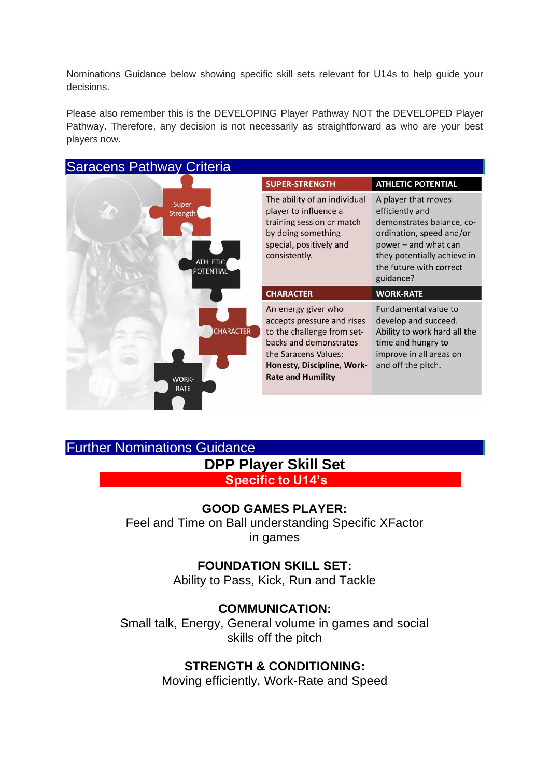Nominations Guidance below showing specific skill sets relevant for U14s to help guide your decisions.

Please also remember this is the DEVELOPING Player Pathway NOT the DEVELOPED Player Pathway. Therefore, any decision is not necessarily as straightforward as who are your best players now.

Saracens Pathway Criteria



# Further Nominations Guidance **DPP Player Skill Set**

**Specific to U14's** 

## **GOOD GAMES PLAYER:**

Feel and Time on Ball understanding Specific XFactor in games

## **FOUNDATION SKILL SET:**

Ability to Pass, Kick, Run and Tackle

### **COMMUNICATION:**

Small talk, Energy, General volume in games and social skills off the pitch

### **STRENGTH & CONDITIONING:**

Moving efficiently, Work-Rate and Speed